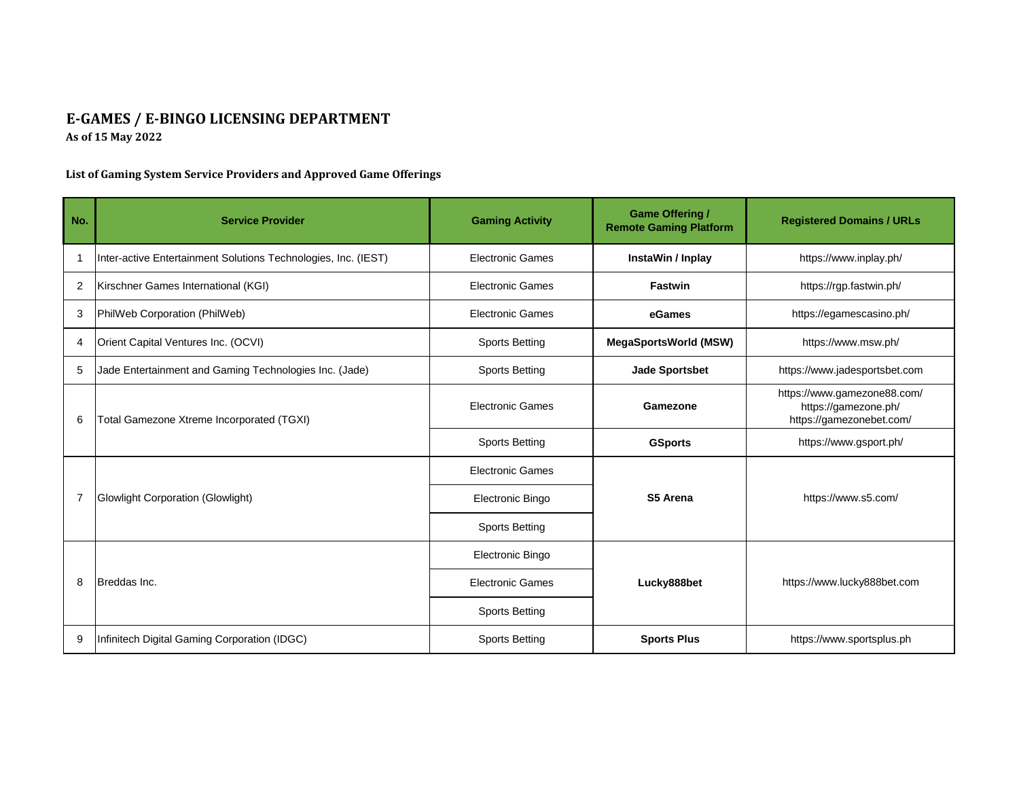## **E-GAMES / E-BINGO LICENSING DEPARTMENT As of 15 May 2022**

## **List of Gaming System Service Providers and Approved Game Offerings**

| No.            | <b>Service Provider</b>                                        | <b>Gaming Activity</b>  | <b>Game Offering /</b><br><b>Remote Gaming Platform</b> | <b>Registered Domains / URLs</b>                                                |
|----------------|----------------------------------------------------------------|-------------------------|---------------------------------------------------------|---------------------------------------------------------------------------------|
|                | Inter-active Entertainment Solutions Technologies, Inc. (IEST) | <b>Electronic Games</b> | InstaWin / Inplay                                       | https://www.inplay.ph/                                                          |
| 2              | Kirschner Games International (KGI)                            | <b>Electronic Games</b> | <b>Fastwin</b>                                          | https://rgp.fastwin.ph/                                                         |
| 3              | PhilWeb Corporation (PhilWeb)                                  | <b>Electronic Games</b> | eGames                                                  | https://egamescasino.ph/                                                        |
| 4              | Orient Capital Ventures Inc. (OCVI)                            | <b>Sports Betting</b>   | <b>MegaSportsWorld (MSW)</b>                            | https://www.msw.ph/                                                             |
| 5              | Jade Entertainment and Gaming Technologies Inc. (Jade)         | <b>Sports Betting</b>   | <b>Jade Sportsbet</b>                                   | https://www.jadesportsbet.com                                                   |
| 6              | Total Gamezone Xtreme Incorporated (TGXI)                      | <b>Electronic Games</b> | Gamezone                                                | https://www.gamezone88.com/<br>https://gamezone.ph/<br>https://gamezonebet.com/ |
|                |                                                                | <b>Sports Betting</b>   | <b>GSports</b>                                          | https://www.gsport.ph/                                                          |
| $\overline{7}$ | <b>Glowlight Corporation (Glowlight)</b>                       | <b>Electronic Games</b> |                                                         |                                                                                 |
|                |                                                                | Electronic Bingo        | S5 Arena                                                | https://www.s5.com/                                                             |
|                |                                                                | <b>Sports Betting</b>   |                                                         |                                                                                 |
| 8              | Breddas Inc.                                                   | Electronic Bingo        |                                                         |                                                                                 |
|                |                                                                | <b>Electronic Games</b> | Lucky888bet                                             | https://www.lucky888bet.com                                                     |
|                |                                                                | <b>Sports Betting</b>   |                                                         |                                                                                 |
| 9              | Infinitech Digital Gaming Corporation (IDGC)                   | <b>Sports Betting</b>   | <b>Sports Plus</b>                                      | https://www.sportsplus.ph                                                       |